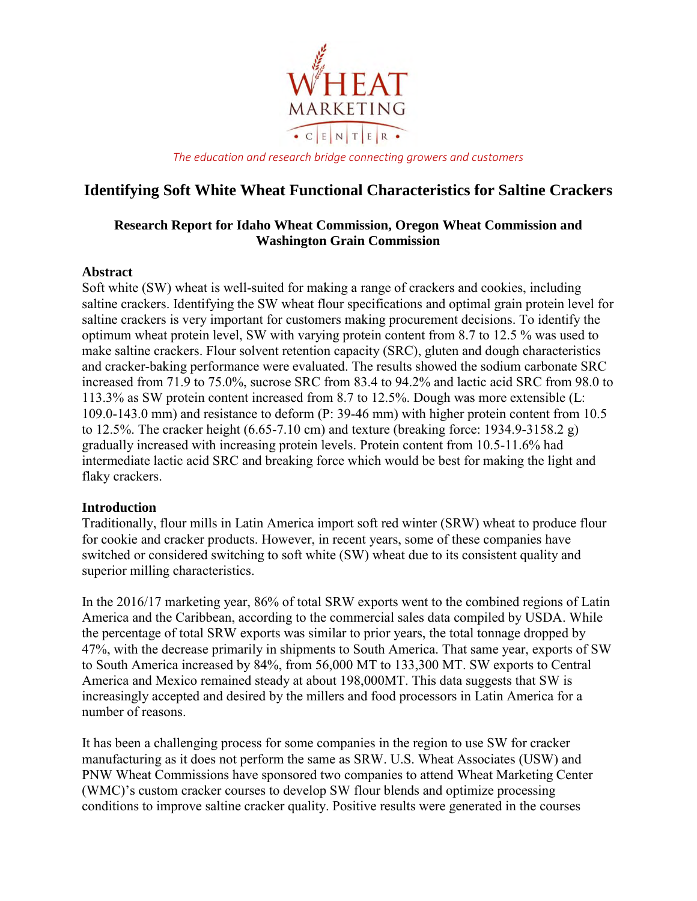

*The education and research bridge connecting growers and customers*

# **Identifying Soft White Wheat Functional Characteristics for Saltine Crackers**

## **Research Report for Idaho Wheat Commission, Oregon Wheat Commission and Washington Grain Commission**

#### **Abstract**

Soft white (SW) wheat is well-suited for making a range of crackers and cookies, including saltine crackers. Identifying the SW wheat flour specifications and optimal grain protein level for saltine crackers is very important for customers making procurement decisions. To identify the optimum wheat protein level, SW with varying protein content from 8.7 to 12.5 % was used to make saltine crackers. Flour solvent retention capacity (SRC), gluten and dough characteristics and cracker-baking performance were evaluated. The results showed the sodium carbonate SRC increased from 71.9 to 75.0%, sucrose SRC from 83.4 to 94.2% and lactic acid SRC from 98.0 to 113.3% as SW protein content increased from 8.7 to 12.5%. Dough was more extensible (L: 109.0-143.0 mm) and resistance to deform (P: 39-46 mm) with higher protein content from 10.5 to 12.5%. The cracker height  $(6.65-7.10 \text{ cm})$  and texture (breaking force: 1934.9-3158.2 g) gradually increased with increasing protein levels. Protein content from 10.5-11.6% had intermediate lactic acid SRC and breaking force which would be best for making the light and flaky crackers.

## **Introduction**

Traditionally, flour mills in Latin America import soft red winter (SRW) wheat to produce flour for cookie and cracker products. However, in recent years, some of these companies have switched or considered switching to soft white (SW) wheat due to its consistent quality and superior milling characteristics.

In the 2016/17 marketing year, 86% of total SRW exports went to the combined regions of Latin America and the Caribbean, according to the commercial sales data compiled by USDA. While the percentage of total SRW exports was similar to prior years, the total tonnage dropped by 47%, with the decrease primarily in shipments to South America. That same year, exports of SW to South America increased by 84%, from 56,000 MT to 133,300 MT. SW exports to Central America and Mexico remained steady at about 198,000MT. This data suggests that SW is increasingly accepted and desired by the millers and food processors in Latin America for a number of reasons.

It has been a challenging process for some companies in the region to use SW for cracker manufacturing as it does not perform the same as SRW. U.S. Wheat Associates (USW) and PNW Wheat Commissions have sponsored two companies to attend Wheat Marketing Center (WMC)'s custom cracker courses to develop SW flour blends and optimize processing conditions to improve saltine cracker quality. Positive results were generated in the courses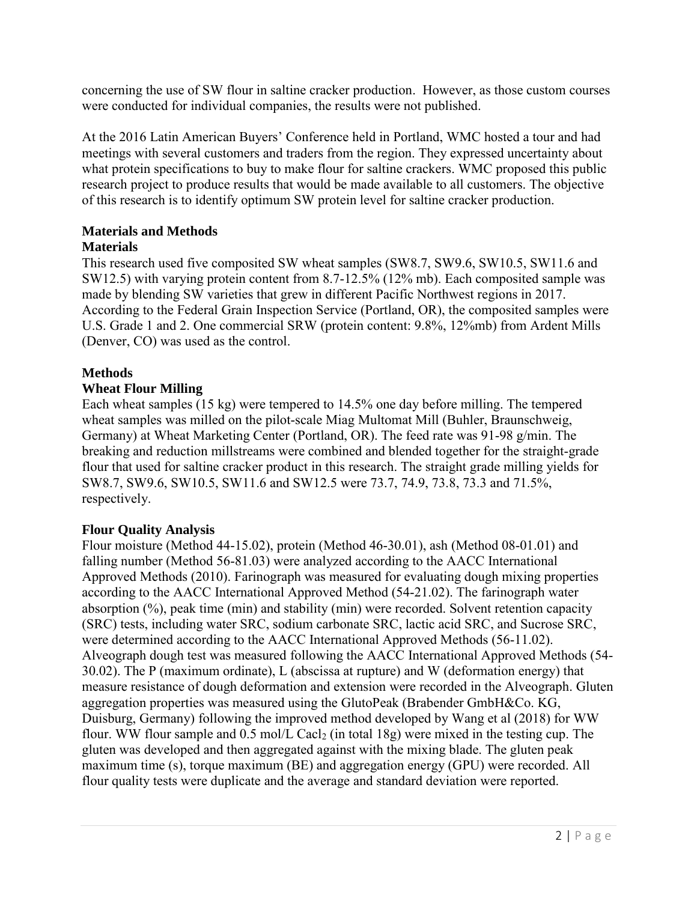concerning the use of SW flour in saltine cracker production. However, as those custom courses were conducted for individual companies, the results were not published.

At the 2016 Latin American Buyers' Conference held in Portland, WMC hosted a tour and had meetings with several customers and traders from the region. They expressed uncertainty about what protein specifications to buy to make flour for saltine crackers. WMC proposed this public research project to produce results that would be made available to all customers. The objective of this research is to identify optimum SW protein level for saltine cracker production.

## **Materials and Methods**

## **Materials**

This research used five composited SW wheat samples (SW8.7, SW9.6, SW10.5, SW11.6 and SW12.5) with varying protein content from 8.7-12.5% (12% mb). Each composited sample was made by blending SW varieties that grew in different Pacific Northwest regions in 2017. According to the Federal Grain Inspection Service (Portland, OR), the composited samples were U.S. Grade 1 and 2. One commercial SRW (protein content: 9.8%, 12%mb) from Ardent Mills (Denver, CO) was used as the control.

## **Methods**

## **Wheat Flour Milling**

Each wheat samples (15 kg) were tempered to 14.5% one day before milling. The tempered wheat samples was milled on the pilot-scale Miag Multomat Mill (Buhler, Braunschweig, Germany) at Wheat Marketing Center (Portland, OR). The feed rate was 91-98 g/min. The breaking and reduction millstreams were combined and blended together for the straight-grade flour that used for saltine cracker product in this research. The straight grade milling yields for SW8.7, SW9.6, SW10.5, SW11.6 and SW12.5 were 73.7, 74.9, 73.8, 73.3 and 71.5%, respectively.

## **Flour Quality Analysis**

Flour moisture (Method 44-15.02), protein (Method 46-30.01), ash (Method 08-01.01) and falling number (Method 56-81.03) were analyzed according to the AACC International Approved Methods (2010). Farinograph was measured for evaluating dough mixing properties according to the AACC International Approved Method (54-21.02). The farinograph water absorption (%), peak time (min) and stability (min) were recorded. Solvent retention capacity (SRC) tests, including water SRC, sodium carbonate SRC, lactic acid SRC, and Sucrose SRC, were determined according to the AACC International Approved Methods (56-11.02). Alveograph dough test was measured following the AACC International Approved Methods (54- 30.02). The P (maximum ordinate), L (abscissa at rupture) and W (deformation energy) that measure resistance of dough deformation and extension were recorded in the Alveograph. Gluten aggregation properties was measured using the GlutoPeak (Brabender GmbH&Co. KG, Duisburg, Germany) following the improved method developed by Wang et al (2018) for WW flour. WW flour sample and  $0.5 \text{ mol/L }$  Cacl<sub>2</sub> (in total 18g) were mixed in the testing cup. The gluten was developed and then aggregated against with the mixing blade. The gluten peak maximum time (s), torque maximum (BE) and aggregation energy (GPU) were recorded. All flour quality tests were duplicate and the average and standard deviation were reported.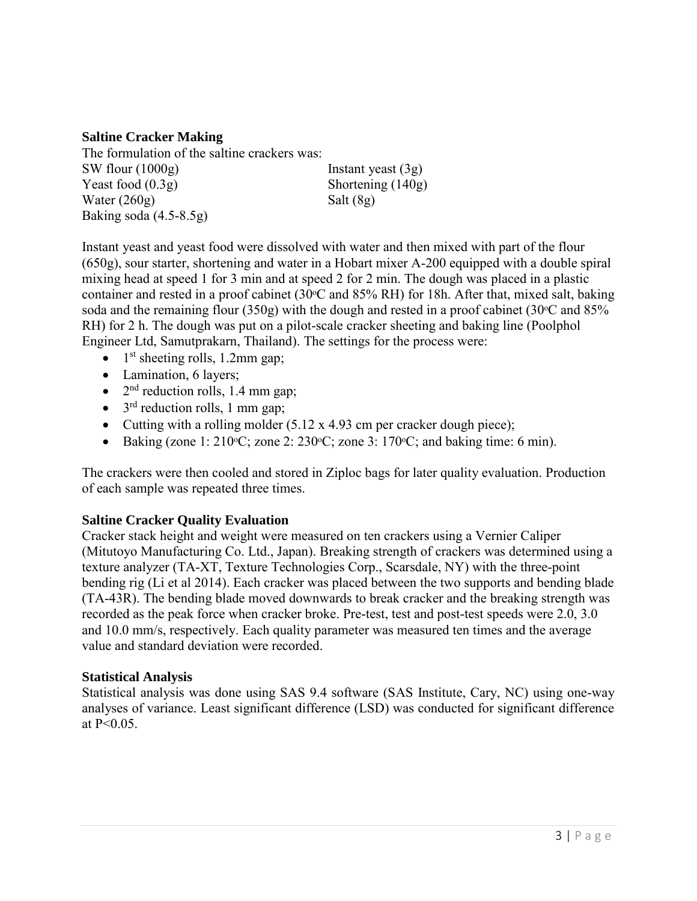#### **Saltine Cracker Making**

The formulation of the saltine crackers was: SW flour (1000g) Instant yeast (3g) Yeast food (0.3g) Shortening (140g) Water  $(260g)$  Salt  $(8g)$ Baking soda (4.5-8.5g)

Instant yeast and yeast food were dissolved with water and then mixed with part of the flour (650g), sour starter, shortening and water in a Hobart mixer A-200 equipped with a double spiral mixing head at speed 1 for 3 min and at speed 2 for 2 min. The dough was placed in a plastic container and rested in a proof cabinet (30<sup>o</sup>C and 85% RH) for 18h. After that, mixed salt, baking soda and the remaining flour  $(350g)$  with the dough and rested in a proof cabinet  $(30^{\circ}$ C and  $85\%$ RH) for 2 h. The dough was put on a pilot-scale cracker sheeting and baking line (Poolphol Engineer Ltd, Samutprakarn, Thailand). The settings for the process were:

- $\bullet$  1<sup>st</sup> sheeting rolls, 1.2mm gap;
- Lamination, 6 layers;
- $\bullet$  2<sup>nd</sup> reduction rolls, 1.4 mm gap;
- $\bullet$  3<sup>rd</sup> reduction rolls, 1 mm gap;
- Cutting with a rolling molder (5.12 x 4.93 cm per cracker dough piece);
- Baking (zone 1:  $210\textdegree C$ ; zone 2:  $230\textdegree C$ ; zone 3:  $170\textdegree C$ ; and baking time: 6 min).

The crackers were then cooled and stored in Ziploc bags for later quality evaluation. Production of each sample was repeated three times.

## **Saltine Cracker Quality Evaluation**

Cracker stack height and weight were measured on ten crackers using a Vernier Caliper (Mitutoyo Manufacturing Co. Ltd., Japan). Breaking strength of crackers was determined using a texture analyzer (TA-XT, Texture Technologies Corp., Scarsdale, NY) with the three-point bending rig (Li et al 2014). Each cracker was placed between the two supports and bending blade (TA-43R). The bending blade moved downwards to break cracker and the breaking strength was recorded as the peak force when cracker broke. Pre-test, test and post-test speeds were 2.0, 3.0 and 10.0 mm/s, respectively. Each quality parameter was measured ten times and the average value and standard deviation were recorded.

## **Statistical Analysis**

Statistical analysis was done using SAS 9.4 software (SAS Institute, Cary, NC) using one-way analyses of variance. Least significant difference (LSD) was conducted for significant difference at  $P < 0.05$ .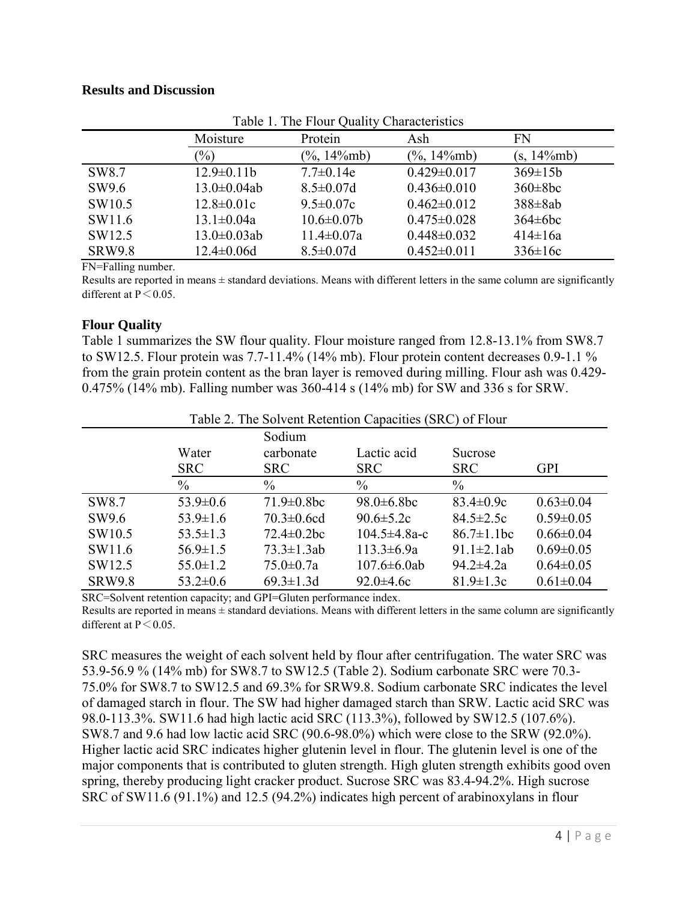#### **Results and Discussion**

|                    | radio 1. The Piour Quality Characteristics<br>Protein<br>Moisture<br>Ash<br>FN |                     |                   |               |  |
|--------------------|--------------------------------------------------------------------------------|---------------------|-------------------|---------------|--|
|                    | $\frac{1}{2}$                                                                  | $(\%$ , 14 $\%$ mb) | $(\%$ , 14\/mb)   | $(s, 14\%mb)$ |  |
| SW <sub>8.7</sub>  | $12.9 \pm 0.11 b$                                                              | $7.7 \pm 0.14e$     | $0.429 \pm 0.017$ | $369 \pm 15b$ |  |
| SW9.6              | $13.0 \pm 0.04$ ab                                                             | $8.5 \pm 0.07d$     | $0.436 \pm 0.010$ | $360\pm8bc$   |  |
| SW <sub>10.5</sub> | $12.8 \pm 0.01c$                                                               | $9.5 \pm 0.07c$     | $0.462 \pm 0.012$ | $388\pm8ab$   |  |
| SW11.6             | $13.1 \pm 0.04a$                                                               | $10.6 \pm 0.07$     | $0.475 \pm 0.028$ | $364\pm6bc$   |  |
| SW12.5             | $13.0 \pm 0.03$ ab                                                             | $11.4 \pm 0.07a$    | $0.448 \pm 0.032$ | $414 \pm 16a$ |  |
| <b>SRW9.8</b>      | $12.4 \pm 0.06d$                                                               | $8.5 \pm 0.07d$     | $0.452 \pm 0.011$ | $336 \pm 16c$ |  |

| Table 1. The Flour Quality Characteristics |  |
|--------------------------------------------|--|
|--------------------------------------------|--|

FN=Falling number.

Results are reported in means ± standard deviations. Means with different letters in the same column are significantly different at  $P \le 0.05$ .

## **Flour Quality**

Table 1 summarizes the SW flour quality. Flour moisture ranged from 12.8-13.1% from SW8.7 to SW12.5. Flour protein was 7.7-11.4% (14% mb). Flour protein content decreases 0.9-1.1 % from the grain protein content as the bran layer is removed during milling. Flour ash was 0.429- 0.475% (14% mb). Falling number was 360-414 s (14% mb) for SW and 336 s for SRW.

| Table 2. The Solvent Retention Capacities (SRC) of Flour |                |                   |                    |                   |                 |  |
|----------------------------------------------------------|----------------|-------------------|--------------------|-------------------|-----------------|--|
|                                                          | Sodium         |                   |                    |                   |                 |  |
|                                                          | Water          | carbonate         | Lactic acid        | Sucrose           |                 |  |
|                                                          | <b>SRC</b>     | <b>SRC</b>        | <b>SRC</b>         | <b>SRC</b>        | <b>GPI</b>      |  |
|                                                          | $\%$           | $\%$              | $\%$               | $\%$              |                 |  |
| SW <sub>8.7</sub>                                        | $53.9 \pm 0.6$ | $71.9 \pm 0.8$ bc | $98.0 \pm 6.8$ bc  | $83.4 \pm 0.9c$   | $0.63 \pm 0.04$ |  |
| SW9.6                                                    | $53.9 \pm 1.6$ | $70.3 \pm 0.6$ cd | $90.6 \pm 5.2c$    | $84.5 \pm 2.5c$   | $0.59 \pm 0.05$ |  |
| SW <sub>10.5</sub>                                       | $53.5 \pm 1.3$ | $72.4 \pm 0.2$ bc | 104.5 $\pm$ 4.8a-c | $86.7 \pm 1.1$ bc | $0.66 \pm 0.04$ |  |
| SW11.6                                                   | $56.9 \pm 1.5$ | $73.3 \pm 1.3ab$  | $113.3 \pm 6.9a$   | 91.1 $\pm$ 2.1ab  | $0.69 \pm 0.05$ |  |
| SW12.5                                                   | $55.0 \pm 1.2$ | $75.0 \pm 0.7a$   | $107.6 \pm 6.0$ ab | $94.2 \pm 4.2a$   | $0.64 \pm 0.05$ |  |
| <b>SRW9.8</b>                                            | $53.2 \pm 0.6$ | $69.3 \pm 1.3$ d  | $92.0 \pm 4.6c$    | $81.9 \pm 1.3c$   | $0.61 \pm 0.04$ |  |

SRC=Solvent retention capacity; and GPI=Gluten performance index. Results are reported in means  $\pm$  standard deviations. Means with different letters in the same column are significantly different at  $P \le 0.05$ .

SRC measures the weight of each solvent held by flour after centrifugation. The water SRC was 53.9-56.9 % (14% mb) for SW8.7 to SW12.5 (Table 2). Sodium carbonate SRC were 70.3- 75.0% for SW8.7 to SW12.5 and 69.3% for SRW9.8. Sodium carbonate SRC indicates the level of damaged starch in flour. The SW had higher damaged starch than SRW. Lactic acid SRC was 98.0-113.3%. SW11.6 had high lactic acid SRC (113.3%), followed by SW12.5 (107.6%). SW8.7 and 9.6 had low lactic acid SRC (90.6-98.0%) which were close to the SRW (92.0%). Higher lactic acid SRC indicates higher glutenin level in flour. The glutenin level is one of the major components that is contributed to gluten strength. High gluten strength exhibits good oven spring, thereby producing light cracker product. Sucrose SRC was 83.4-94.2%. High sucrose SRC of SW11.6 (91.1%) and 12.5 (94.2%) indicates high percent of arabinoxylans in flour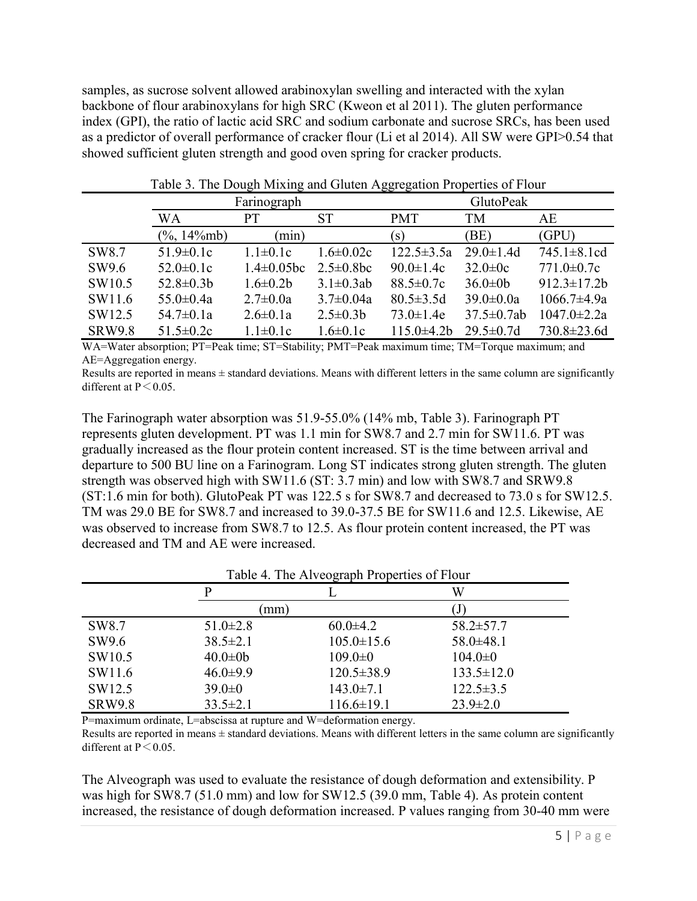samples, as sucrose solvent allowed arabinoxylan swelling and interacted with the xylan backbone of flour arabinoxylans for high SRC (Kweon et al 2011). The gluten performance index (GPI), the ratio of lactic acid SRC and sodium carbonate and sucrose SRCs, has been used as a predictor of overall performance of cracker flour (Li et al 2014). All SW were GPI>0.54 that showed sufficient gluten strength and good oven spring for cracker products.

|                    | ے --<br>$\epsilon$<br>Farinograph |                   |                  | <i>00 ° 0</i><br>GlutoPeak |                   |                    |
|--------------------|-----------------------------------|-------------------|------------------|----------------------------|-------------------|--------------------|
|                    | WA<br>SТ<br>PТ                    |                   |                  | <b>PMT</b>                 | TM                | AE                 |
|                    | $(\%$ , 14 $\%$ mb)               | (m <sub>1</sub> ) |                  | (S)                        | (BE)              | (GPU)              |
| SW <sub>8.7</sub>  | $51.9 \pm 0.1c$                   | $1.1 \pm 0.1c$    | $1.6 \pm 0.02c$  | $122.5 \pm 3.5a$           | $29.0 \pm 1.4$ d  | $745.1 \pm 8.1$ cd |
| SW9.6              | $52.0 \pm 0.1c$                   | $1.4 \pm 0.05$ bc | $2.5 \pm 0.8$ bc | $90.0 \pm 1.4c$            | $32.0 \pm 0c$     | $771.0 \pm 0.7c$   |
| SW <sub>10.5</sub> | $52.8 \pm 0.3 b$                  | $1.6 \pm 0.2 b$   | $3.1 \pm 0.3$ ab | $88.5 \pm 0.7c$            | $36.0 \pm 0 b$    | $912.3 \pm 17.2 b$ |
| SW11.6             | $55.0 \pm 0.4a$                   | $2.7 \pm 0.0a$    | $3.7 \pm 0.04a$  | $80.5 \pm 3.5d$            | $39.0 \pm 0.0a$   | $1066.7 \pm 4.9a$  |
| SW12.5             | $54.7 \pm 0.1a$                   | $2.6 \pm 0.1a$    | $2.5 \pm 0.3 b$  | $73.0 \pm 1.4e$            | $37.5 \pm 0.7$ ab | $1047.0 \pm 2.2a$  |
| <b>SRW9.8</b>      | $51.5 \pm 0.2c$                   | $1.1 \pm 0.1c$    | $1.6 \pm 0.1c$   | $115.0 \pm 4.2 b$          | $29.5 \pm 0.7d$   | 730.8±23.6d        |

Table 3. The Dough Mixing and Gluten Aggregation Properties of Flour

WA=Water absorption; PT=Peak time; ST=Stability; PMT=Peak maximum time; TM=Torque maximum; and AE=Aggregation energy.

Results are reported in means  $\pm$  standard deviations. Means with different letters in the same column are significantly different at  $P \le 0.05$ .

The Farinograph water absorption was 51.9-55.0% (14% mb, Table 3). Farinograph PT represents gluten development. PT was 1.1 min for SW8.7 and 2.7 min for SW11.6. PT was gradually increased as the flour protein content increased. ST is the time between arrival and departure to 500 BU line on a Farinogram. Long ST indicates strong gluten strength. The gluten strength was observed high with SW11.6 (ST: 3.7 min) and low with SW8.7 and SRW9.8 (ST:1.6 min for both). GlutoPeak PT was 122.5 s for SW8.7 and decreased to 73.0 s for SW12.5. TM was 29.0 BE for SW8.7 and increased to 39.0-37.5 BE for SW11.6 and 12.5. Likewise, AE was observed to increase from SW8.7 to 12.5. As flour protein content increased, the PT was decreased and TM and AE were increased.

| Table 4. The Alveograph Properties of Flour |                |                  |                  |  |  |  |
|---------------------------------------------|----------------|------------------|------------------|--|--|--|
|                                             | μ              |                  | W                |  |  |  |
|                                             | mm)            |                  |                  |  |  |  |
| SW <sub>8.7</sub>                           | $51.0 \pm 2.8$ | $60.0 \pm 4.2$   | $58.2 \pm 57.7$  |  |  |  |
| SW9.6                                       | $38.5 \pm 2.1$ | $105.0 \pm 15.6$ | $58.0 \pm 48.1$  |  |  |  |
| SW <sub>10.5</sub>                          | $40.0 \pm 0 b$ | $109.0 \pm 0$    | $104.0 \pm 0$    |  |  |  |
| SW11.6                                      | $46.0 \pm 9.9$ | $120.5 \pm 38.9$ | $133.5 \pm 12.0$ |  |  |  |
| SW12.5                                      | $39.0 \pm 0$   | $143.0 \pm 7.1$  | $122.5 \pm 3.5$  |  |  |  |
| <b>SRW9.8</b>                               | $33.5 \pm 2.1$ | $116.6 \pm 19.1$ | $23.9 \pm 2.0$   |  |  |  |

 $T<sub>11-4</sub>$  T<sub>1</sub>. Alveograph Droperties of

P=maximum ordinate, L=abscissa at rupture and W=deformation energy.

Results are reported in means  $\pm$  standard deviations. Means with different letters in the same column are significantly different at  $P \le 0.05$ .

The Alveograph was used to evaluate the resistance of dough deformation and extensibility. P was high for SW8.7 (51.0 mm) and low for SW12.5 (39.0 mm, Table 4). As protein content increased, the resistance of dough deformation increased. P values ranging from 30-40 mm were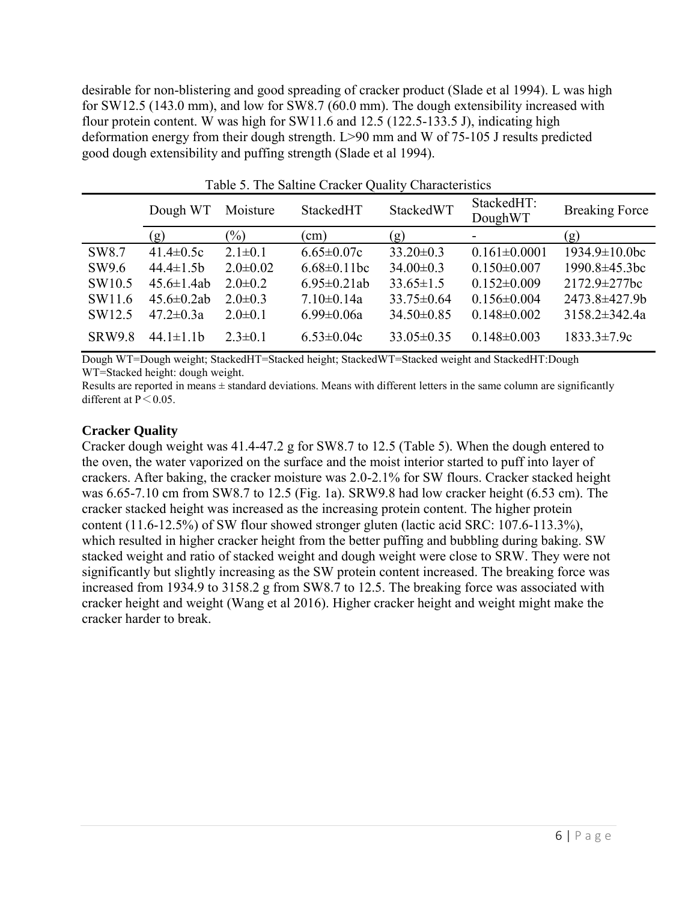desirable for non-blistering and good spreading of cracker product (Slade et al 1994). L was high for SW12.5 (143.0 mm), and low for SW8.7 (60.0 mm). The dough extensibility increased with flour protein content. W was high for SW11.6 and 12.5 (122.5-133.5 J), indicating high deformation energy from their dough strength. L>90 mm and W of 75-105 J results predicted good dough extensibility and puffing strength (Slade et al 1994).

| Tuble 5. The Builthe Chaenel Quality Characteristics |                   |                |                    |                  |                          |                       |
|------------------------------------------------------|-------------------|----------------|--------------------|------------------|--------------------------|-----------------------|
|                                                      | Dough WT          | Moisture       | StackedHT          | StackedWT        | StackedHT:<br>DoughWT    | <b>Breaking Force</b> |
|                                                      | (g)               | $\frac{1}{2}$  | (cm)               | (g)              | $\overline{\phantom{a}}$ | (g)                   |
| SW <sub>8.7</sub>                                    | 41.4 $\pm$ 0.5c   | $2.1 \pm 0.1$  | $6.65 \pm 0.07c$   | $33.20 \pm 0.3$  | $0.161 \pm 0.0001$       | $1934.9 \pm 10.0$ bc  |
| SW9.6                                                | $44.4 \pm 1.5b$   | $2.0 \pm 0.02$ | $6.68 \pm 0.11$ bc | $34.00 \pm 0.3$  | $0.150 \pm 0.007$        | 1990.8±45.3bc         |
| SW10.5                                               | $45.6 \pm 1.4ab$  | $2.0 \pm 0.2$  | $6.95 \pm 0.21$ ab | $33.65 \pm 1.5$  | $0.152 \pm 0.009$        | $2172.9 \pm 277$ bc   |
| SW11.6                                               | $45.6 \pm 0.2$ ab | $2.0 \pm 0.3$  | $7.10 \pm 0.14a$   | $33.75 \pm 0.64$ | $0.156 \pm 0.004$        | 2473.8±427.9b         |
| SW12.5                                               | $47.2 \pm 0.3a$   | $2.0 \pm 0.1$  | $6.99 \pm 0.06a$   | $34.50 \pm 0.85$ | $0.148 \pm 0.002$        | $3158.2 \pm 342.4a$   |
| <b>SRW9.8</b>                                        | $44.1 \pm 1.1$    | $2.3 \pm 0.1$  | $6.53 \pm 0.04c$   | $33.05 \pm 0.35$ | $0.148 \pm 0.003$        | $1833.3 \pm 7.9c$     |

Table 5. The Saltine Cracker Quality Characteristics

Dough WT=Dough weight; StackedHT=Stacked height; StackedWT=Stacked weight and StackedHT:Dough WT=Stacked height: dough weight.

Results are reported in means  $\pm$  standard deviations. Means with different letters in the same column are significantly different at  $P \le 0.05$ .

#### **Cracker Quality**

Cracker dough weight was 41.4-47.2 g for SW8.7 to 12.5 (Table 5). When the dough entered to the oven, the water vaporized on the surface and the moist interior started to puff into layer of crackers. After baking, the cracker moisture was 2.0-2.1% for SW flours. Cracker stacked height was 6.65-7.10 cm from SW8.7 to 12.5 (Fig. 1a). SRW9.8 had low cracker height (6.53 cm). The cracker stacked height was increased as the increasing protein content. The higher protein content (11.6-12.5%) of SW flour showed stronger gluten (lactic acid SRC: 107.6-113.3%), which resulted in higher cracker height from the better puffing and bubbling during baking. SW stacked weight and ratio of stacked weight and dough weight were close to SRW. They were not significantly but slightly increasing as the SW protein content increased. The breaking force was increased from 1934.9 to 3158.2 g from SW8.7 to 12.5. The breaking force was associated with cracker height and weight (Wang et al 2016). Higher cracker height and weight might make the cracker harder to break.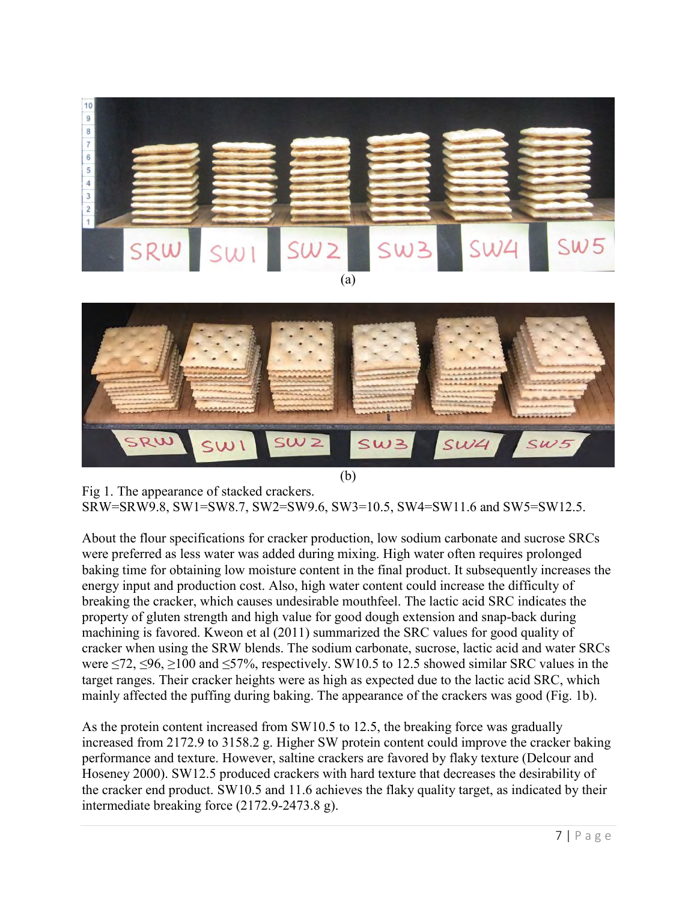

Fig 1. The appearance of stacked crackers. SRW=SRW9.8, SW1=SW8.7, SW2=SW9.6, SW3=10.5, SW4=SW11.6 and SW5=SW12.5.

About the flour specifications for cracker production, low sodium carbonate and sucrose SRCs were preferred as less water was added during mixing. High water often requires prolonged baking time for obtaining low moisture content in the final product. It subsequently increases the energy input and production cost. Also, high water content could increase the difficulty of breaking the cracker, which causes undesirable mouthfeel. The lactic acid SRC indicates the property of gluten strength and high value for good dough extension and snap-back during machining is favored. Kweon et al (2011) summarized the SRC values for good quality of cracker when using the SRW blends. The sodium carbonate, sucrose, lactic acid and water SRCs were  $\le$ 72,  $\le$ 96,  $\ge$ 100 and  $\le$ 57%, respectively. SW10.5 to 12.5 showed similar SRC values in the target ranges. Their cracker heights were as high as expected due to the lactic acid SRC, which mainly affected the puffing during baking. The appearance of the crackers was good (Fig. 1b).

As the protein content increased from SW10.5 to 12.5, the breaking force was gradually increased from 2172.9 to 3158.2 g. Higher SW protein content could improve the cracker baking performance and texture. However, saltine crackers are favored by flaky texture (Delcour and Hoseney 2000). SW12.5 produced crackers with hard texture that decreases the desirability of the cracker end product. SW10.5 and 11.6 achieves the flaky quality target, as indicated by their intermediate breaking force (2172.9-2473.8 g).